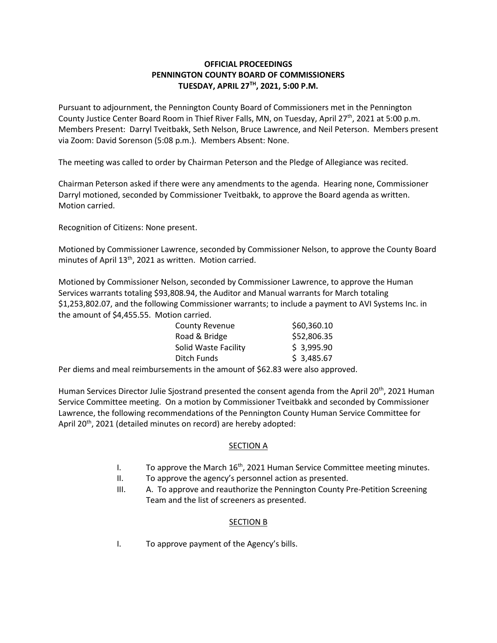## **OFFICIAL PROCEEDINGS PENNINGTON COUNTY BOARD OF COMMISSIONERS TUESDAY, APRIL 27TH , 2021, 5:00 P.M.**

Pursuant to adjournment, the Pennington County Board of Commissioners met in the Pennington County Justice Center Board Room in Thief River Falls, MN, on Tuesday, April 27<sup>th</sup>, 2021 at 5:00 p.m. Members Present: Darryl Tveitbakk, Seth Nelson, Bruce Lawrence, and Neil Peterson. Members present via Zoom: David Sorenson (5:08 p.m.). Members Absent: None.

The meeting was called to order by Chairman Peterson and the Pledge of Allegiance was recited.

Chairman Peterson asked if there were any amendments to the agenda. Hearing none, Commissioner Darryl motioned, seconded by Commissioner Tveitbakk, to approve the Board agenda as written. Motion carried.

Recognition of Citizens: None present.

Motioned by Commissioner Lawrence, seconded by Commissioner Nelson, to approve the County Board minutes of April 13th, 2021 as written. Motion carried.

Motioned by Commissioner Nelson, seconded by Commissioner Lawrence, to approve the Human Services warrants totaling \$93,808.94, the Auditor and Manual warrants for March totaling \$1,253,802.07, and the following Commissioner warrants; to include a payment to AVI Systems Inc. in the amount of \$4,455.55. Motion carried.

| <b>County Revenue</b> | \$60,360.10 |
|-----------------------|-------------|
| Road & Bridge         | \$52,806.35 |
| Solid Waste Facility  | \$3,995.90  |
| Ditch Funds           | \$3,485.67  |
|                       |             |

Per diems and meal reimbursements in the amount of \$62.83 were also approved.

Human Services Director Julie Sjostrand presented the consent agenda from the April 20<sup>th</sup>, 2021 Human Service Committee meeting. On a motion by Commissioner Tveitbakk and seconded by Commissioner Lawrence, the following recommendations of the Pennington County Human Service Committee for April 20<sup>th</sup>, 2021 (detailed minutes on record) are hereby adopted:

## SECTION A

- I. To approve the March  $16<sup>th</sup>$ , 2021 Human Service Committee meeting minutes.
- II. To approve the agency's personnel action as presented.
- III. A. To approve and reauthorize the Pennington County Pre-Petition Screening Team and the list of screeners as presented.

## SECTION B

I. To approve payment of the Agency's bills.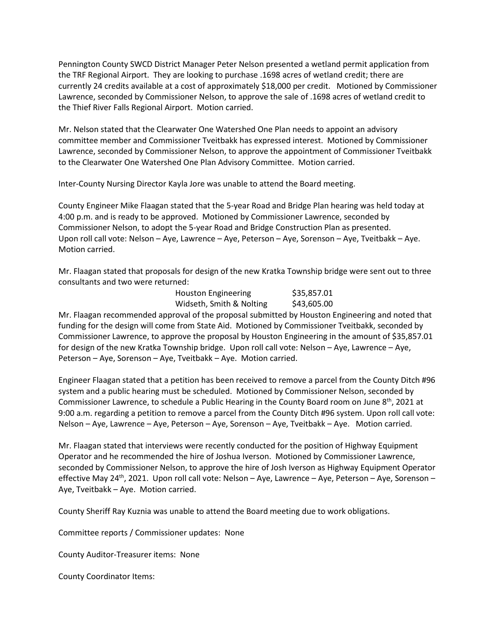Pennington County SWCD District Manager Peter Nelson presented a wetland permit application from the TRF Regional Airport. They are looking to purchase .1698 acres of wetland credit; there are currently 24 credits available at a cost of approximately \$18,000 per credit. Motioned by Commissioner Lawrence, seconded by Commissioner Nelson, to approve the sale of .1698 acres of wetland credit to the Thief River Falls Regional Airport. Motion carried.

Mr. Nelson stated that the Clearwater One Watershed One Plan needs to appoint an advisory committee member and Commissioner Tveitbakk has expressed interest. Motioned by Commissioner Lawrence, seconded by Commissioner Nelson, to approve the appointment of Commissioner Tveitbakk to the Clearwater One Watershed One Plan Advisory Committee. Motion carried.

Inter-County Nursing Director Kayla Jore was unable to attend the Board meeting.

County Engineer Mike Flaagan stated that the 5-year Road and Bridge Plan hearing was held today at 4:00 p.m. and is ready to be approved. Motioned by Commissioner Lawrence, seconded by Commissioner Nelson, to adopt the 5-year Road and Bridge Construction Plan as presented. Upon roll call vote: Nelson – Aye, Lawrence – Aye, Peterson – Aye, Sorenson – Aye, Tveitbakk – Aye. Motion carried.

Mr. Flaagan stated that proposals for design of the new Kratka Township bridge were sent out to three consultants and two were returned:

| <b>Houston Engineering</b> | \$35,857.01 |
|----------------------------|-------------|
| Widseth, Smith & Nolting   | \$43,605.00 |

Mr. Flaagan recommended approval of the proposal submitted by Houston Engineering and noted that funding for the design will come from State Aid. Motioned by Commissioner Tveitbakk, seconded by Commissioner Lawrence, to approve the proposal by Houston Engineering in the amount of \$35,857.01 for design of the new Kratka Township bridge. Upon roll call vote: Nelson – Aye, Lawrence – Aye, Peterson – Aye, Sorenson – Aye, Tveitbakk – Aye. Motion carried.

Engineer Flaagan stated that a petition has been received to remove a parcel from the County Ditch #96 system and a public hearing must be scheduled. Motioned by Commissioner Nelson, seconded by Commissioner Lawrence, to schedule a Public Hearing in the County Board room on June 8<sup>th</sup>, 2021 at 9:00 a.m. regarding a petition to remove a parcel from the County Ditch #96 system. Upon roll call vote: Nelson – Aye, Lawrence – Aye, Peterson – Aye, Sorenson – Aye, Tveitbakk – Aye. Motion carried.

Mr. Flaagan stated that interviews were recently conducted for the position of Highway Equipment Operator and he recommended the hire of Joshua Iverson. Motioned by Commissioner Lawrence, seconded by Commissioner Nelson, to approve the hire of Josh Iverson as Highway Equipment Operator effective May 24<sup>th</sup>, 2021. Upon roll call vote: Nelson – Aye, Lawrence – Aye, Peterson – Aye, Sorenson – Aye, Tveitbakk – Aye. Motion carried.

County Sheriff Ray Kuznia was unable to attend the Board meeting due to work obligations.

Committee reports / Commissioner updates: None

County Auditor-Treasurer items: None

County Coordinator Items: